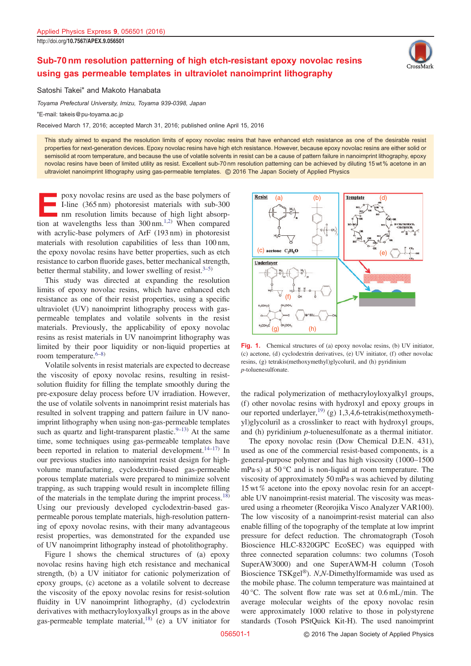## <span id="page-0-0"></span>Sub-70 nm resolution patterning of high etch-resistant epoxy novolac resins using gas permeable templates in ultraviolet nanoimprint lithography

Satoshi Takei\* and Makoto Hanabata

Toyama Prefectural University, Imizu, Toyama 939-0398, Japan

\*E-mail: takeis@pu-toyama.ac.jp

Received March 17, 2016; accepted March 31, 2016; published online April 15, 2016

This study aimed to expand the resolution limits of epoxy novolac resins that have enhanced etch resistance as one of the desirable resist properties for next-generation devices. Epoxy novolac resins have high etch resistance. However, because epoxy novolac resins are either solid or semisolid at room temperature, and because the use of volatile solvents in resist can be a cause of pattern failure in nanoimprint lithography, epoxy novolac resins have been of limited utility as resist. Excellent sub-70 nm resolution patterning can be achieved by diluting 15 wt % acetone in an ultraviolet nanoimprint lithography using gas-permeable templates. © 2016 The Japan Society of Applied Physics

poxy novolac resins are used as the base polymers of I-line (365 nm) photoresist materials with sub-300 nm resolution limits because of high light absorption at wavelengths less than  $300 \text{ nm}$ .<sup>[1,2\)](#page-2-0)</sup> When compared with acrylic-base polymers of ArF (193 nm) in photoresist materials with resolution capabilities of less than 100 nm, the epoxy novolac resins have better properties, such as etch resistance to carbon fluoride gases, better mechanical strength, better thermal stability, and lower swelling of resist. $3-5$ )

This study was directed at expanding the resolution limits of epoxy novolac resins, which have enhanced etch resistance as one of their resist properties, using a specific ultraviolet (UV) nanoimprint lithography process with gaspermeable templates and volatile solvents in the resist materials. Previously, the applicability of epoxy novolac resins as resist materials in UV nanoimprint lithography was limited by their poor liquidity or non-liquid properties at room temperature.<sup>[6](#page-2-0)–[8](#page-2-0))</sup>

Volatile solvents in resist materials are expected to decrease the viscosity of epoxy novolac resins, resulting in resistsolution fluidity for filling the template smoothly during the pre-exposure delay process before UV irradiation. However, the use of volatile solvents in nanoimprint resist materials has resulted in solvent trapping and pattern failure in UV nanoimprint lithography when using non-gas-permeable templates ine use of volatile solvents in nanomiprint testst materials has<br>resulted in solvent trapping and pattern failure in UV nano-<br>imprint lithography when using non-gas-permeable templates<br>such as quartz and light-transparent time, some techniques using gas-permeable templates have mipmit nuography when using non-gas-permeable templates<br>such as quartz and light-transparent plastic.<sup>9–13)</sup> At the same<br>time, some techniques using gas-permeable templates have<br>been reported in relation to material devel our previous studies into nanoimprint resist design for highvolume manufacturing, cyclodextrin-based gas-permeable porous template materials were prepared to minimize solvent trapping, as such trapping would result in incomplete filling of the materials in the template during the imprint process. $18$ ) Using our previously developed cyclodextrin-based gaspermeable porous template materials, high-resolution patterning of epoxy novolac resins, with their many advantageous resist properties, was demonstrated for the expanded use of UV nanoimprint lithography instead of photolithography.

Figure 1 shows the chemical structures of (a) epoxy novolac resins having high etch resistance and mechanical strength, (b) a UV initiator for cationic polymerization of epoxy groups, (c) acetone as a volatile solvent to decrease the viscosity of the epoxy novolac resins for resist-solution fluidity in UV nanoimprint lithography, (d) cyclodextrin derivatives with methacryloyloxyalkyl groups as in the above gas-permeable template material, $^{18)}$  $^{18)}$  $^{18)}$  (e) a UV initiator for



Fig. 1. Chemical structures of (a) epoxy novolac resins, (b) UV initiator, (c) acetone, (d) cyclodextrin derivatives, (e) UV initiator, (f) other novolac resins, (g) tetrakis(methoxymethyl)glycoluril, and (h) pyridinium p-toluenesulfonate.

the radical polymerization of methacryloyloxyalkyl groups, (f) other novolac resins with hydroxyl and epoxy groups in our reported underlayer,<sup>[19](#page-2-0))</sup> (g) 1,3,4,6-tetrakis(methoxymethyl)glycoluril as a crosslinker to react with hydroxyl groups,

grigity of the acconduct of the content of the main initiator.<br>
The epoxy novolac resin (Dow Chemical D.E.N. 431),<br>
used as one of the commercial resist-based components, is a<br>
general-purpose polymer and has high viscosit The epoxy novolac resin (Dow Chemical D.E.N. 431), used as one of the commercial resist-based components, is a mPa·s) at 50 °C and is non-liquid at room temperature. The viscosity of approximately 50 mPa·s was achieved by diluting 15 wt % acetone into the epoxy novolac resin for an acceptable UV nanoimprint-resist material. The viscosity was measured using a rheometer (Reorojika Visco Analyzer VAR100). The low viscosity of a nanoimprint-resist material can also enable filling of the topography of the template at low imprint pressure for defect reduction. The chromatograph (Tosoh Bioscience HLC-8320GPC EcoSEC) was equipped with three connected separation columns: two columns (Tosoh SuperAW3000) and one SuperAWM-H column (Tosoh Bioscience TSKgel®). N,N-Dimethylformamide was used as the mobile phase. The column temperature was maintained at 40 °C. The solvent flow rate was set at  $0.6$  mL/min. The average molecular weights of the epoxy novolac resin were approximately 1000 relative to those in polystyrene standards (Tosoh PStQuick Kit-H). The used nanoimprint

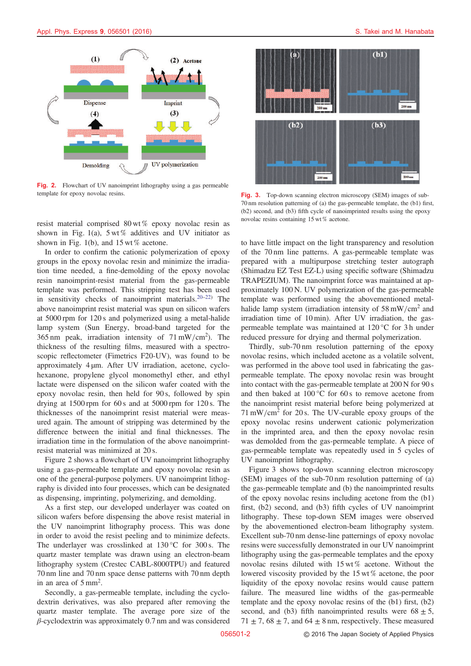

Fig. 2. Flowchart of UV nanoimprint lithography using a gas permeable template for epoxy novolac resins. Fig. 3. Top-down scanning electron microscopy (SEM) images of sub-

resist material comprised 80 wt % epoxy novolac resin as shown in Fig. [1](#page-0-0)(a),  $5 \text{ wt } \%$  additives and UV initiator as shown in Fig. [1](#page-0-0)(b), and  $15 \text{ wt } \%$  acetone.

In order to confirm the cationic polymerization of epoxy groups in the epoxy novolac resin and minimize the irradiation time needed, a fine-demolding of the epoxy novolac resin nanoimprint-resist material from the gas-permeable<br>template was performed. This stripping test has been used<br>in sensitivity checks of nanoimprint materials.<sup>[20](#page-2-0)–[22\)](#page-2-0)</sup> The template was performed. This stripping test has been used above nanoimprint resist material was spun on silicon wafers at 5000 rpm for 120 s and polymerized using a metal-halide lamp system (Sun Energy, broad-band targeted for the 365 nm peak, irradiation intensity of  $71 \text{ mW/cm}^2$ ). The thickness of the resulting films, measured with a spectroscopic reflectometer (Fimetrics F20-UV), was found to be approximately 4 µm. After UV irradiation, acetone, cyclohexanone, propylene glycol monomethyl ether, and ethyl lactate were dispensed on the silicon wafer coated with the epoxy novolac resin, then held for 90 s, followed by spin drying at  $1500$  rpm for 60 s and at  $5000$  rpm for  $120$  s. The thicknesses of the nanoimprint resist material were measured again. The amount of stripping was determined by the difference between the initial and final thicknesses. The irradiation time in the formulation of the above nanoimprintresist material was minimized at 20 s.

Figure 2 shows a flowchart of UV nanoimprint lithography using a gas-permeable template and epoxy novolac resin as one of the general-purpose polymers. UV nanoimprint lithography is divided into four processes, which can be designated as dispensing, imprinting, polymerizing, and demolding.

As a first step, our developed underlayer was coated on silicon wafers before dispensing the above resist material in the UV nanoimprint lithography process. This was done in order to avoid the resist peeling and to minimize defects. The underlayer was crosslinked at 130 °C for 300 s. The quartz master template was drawn using an electron-beam lithography system (Crestec CABL-8000TPU) and featured 70 nm line and 70 nm space dense patterns with 70 nm depth in an area of  $5 \text{ mm}^2$ .

Secondly, a gas-permeable template, including the cyclodextrin derivatives, was also prepared after removing the quartz master template. The average pore size of the  $\beta$ -cyclodextrin was approximately 0.7 nm and was considered



70 nm resolution patterning of (a) the gas-permeable template, the (b1) first, (b2) second, and (b3) fifth cycle of nanoimprinted results using the epoxy novolac resins containing 15 wt % acetone.

to have little impact on the light transparency and resolution of the 70 nm line patterns. A gas-permeable template was prepared with a multipurpose stretching tester autograph (Shimadzu EZ Test EZ-L) using specific software (Shimadzu TRAPEZIUM). The nanoimprint force was maintained at approximately 100 N. UV polymerization of the gas-permeable template was performed using the abovementioned metalhalide lamp system (irradiation intensity of  $58 \text{ mW/cm}^2$  and irradiation time of 10 min). After UV irradiation, the gaspermeable template was maintained at 120 °C for 3 h under reduced pressure for drying and thermal polymerization.

Thirdly, sub-70 nm resolution patterning of the epoxy novolac resins, which included acetone as a volatile solvent, was performed in the above tool used in fabricating the gaspermeable template. The epoxy novolac resin was brought into contact with the gas-permeable template at 200 N for 90 s and then baked at 100 °C for 60 s to remove acetone from the nanoimprint resist material before being polymerized at  $71 \text{ mW/cm}^2$  for 20 s. The UV-curable epoxy groups of the epoxy novolac resins underwent cationic polymerization in the imprinted area, and then the epoxy novolac resin was demolded from the gas-permeable template. A piece of gas-permeable template was repeatedly used in 5 cycles of UV nanoimprint lithography.

Figure 3 shows top-down scanning electron microscopy (SEM) images of the sub-70 nm resolution patterning of (a) the gas-permeable template and (b) the nanoimprinted results of the epoxy novolac resins including acetone from the (b1) first, (b2) second, and (b3) fifth cycles of UV nanoimprint lithography. These top-down SEM images were observed by the abovementioned electron-beam lithography system. Excellent sub-70 nm dense-line patternings of epoxy novolac resins were successfully demonstrated in our UV nanoimprint lithography using the gas-permeable templates and the epoxy novolac resins diluted with 15 wt % acetone. Without the lowered viscosity provided by the 15 wt % acetone, the poor liquidity of the epoxy novolac resins would cause pattern failure. The measured line widths of the gas-permeable template and the epoxy novolac resins of the (b1) first, (b2) second, and (b3) fifth nanoimprinted results were  $68 \pm 5$ ,  $71 \pm 7$ ,  $68 \pm 7$ , and  $64 \pm 8$  nm, respectively. These measured